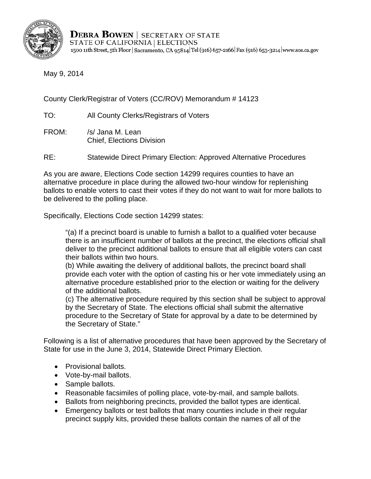

**DEBRA BOWEN** SECRETARY OF STATE STATE OF CALIFORNIA | ELECTIONS 1500 11th Street, 5th Floor | Sacramento, CA 95814 Tel (916) 657-2166 | Fax (916) 653-3214 | www.sos.ca.gov

May 9, 2014

County Clerk/Registrar of Voters (CC/ROV) Memorandum # 14123

TO: All County Clerks/Registrars of Voters

FROM: /s/ Jana M. Lean Chief, Elections Division

RE: Statewide Direct Primary Election: Approved Alternative Procedures

As you are aware, Elections Code section 14299 requires counties to have an alternative procedure in place during the allowed two-hour window for replenishing ballots to enable voters to cast their votes if they do not want to wait for more ballots to be delivered to the polling place.

Specifically, Elections Code section 14299 states:

"(a) If a precinct board is unable to furnish a ballot to a qualified voter because there is an insufficient number of ballots at the precinct, the elections official shall deliver to the precinct additional ballots to ensure that all eligible voters can cast their ballots within two hours.

(b) While awaiting the delivery of additional ballots, the precinct board shall provide each voter with the option of casting his or her vote immediately using an alternative procedure established prior to the election or waiting for the delivery of the additional ballots.

(c) The alternative procedure required by this section shall be subject to approval by the Secretary of State. The elections official shall submit the alternative procedure to the Secretary of State for approval by a date to be determined by the Secretary of State."

Following is a list of alternative procedures that have been approved by the Secretary of State for use in the June 3, 2014, Statewide Direct Primary Election.

- Provisional ballots.
- Vote-by-mail ballots.
- Sample ballots.
- Reasonable facsimiles of polling place, vote-by-mail, and sample ballots.
- Ballots from neighboring precincts, provided the ballot types are identical.
- Emergency ballots or test ballots that many counties include in their regular precinct supply kits, provided these ballots contain the names of all of the